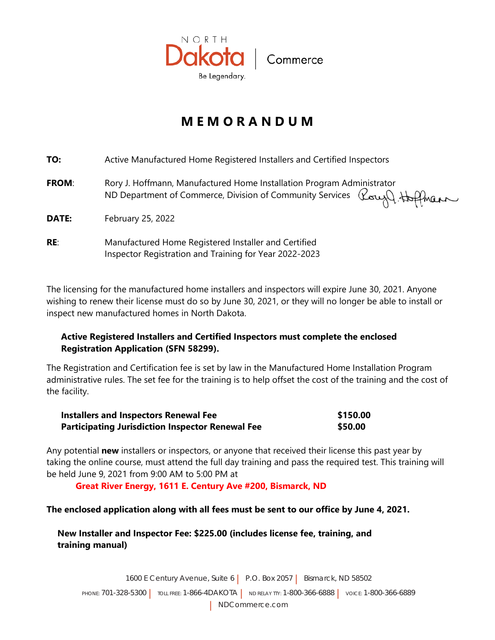

## **M E M O R A N D U M**

| TO:          | Active Manufactured Home Registered Installers and Certified Inspectors                                                                                              |
|--------------|----------------------------------------------------------------------------------------------------------------------------------------------------------------------|
| <b>FROM:</b> | Rory J. Hoffmann, Manufactured Home Installation Program Administrator<br>ROTY J. HOTTITIANII, IVIATIONALISTICO TESTING INCHESION COMMUNITY Services Rough Applement |
| <b>DATE:</b> | February 25, 2022                                                                                                                                                    |
| RE:          | Manufactured Home Registered Installer and Certified<br>Inspector Registration and Training for Year 2022-2023                                                       |

The licensing for the manufactured home installers and inspectors will expire June 30, 2022. Anyone wishing to renew their license must do so by June 30, 2022, or they will no longer be able to install or inspect new manufactured homes in North Dakota.

## **Active Registered Installers and Certified Inspectors must complete the enclosed Registration Application (SFN 58299).**

The Registration and Certification fee is set by law in the Manufactured Home Installation Program administrative rules. The set fee for the training is to help offset the cost of the training and the cost of the facility.

| Installers and Inspectors License and Training Fee      | \$200.00 |
|---------------------------------------------------------|----------|
| <b>Participating Jurisdiction Inspector License Fee</b> | \$50.00  |
| <b>Guidelines Training Manual (if needed)</b>           | \$25.00  |

Any potential **new** installers or inspectors, or anyone that received their license this past year by taking the online course, must attend the full day training and pass the required test. This training will be held June 16, 2022 from 9:00 AM to 5:00 PM at

**WSI Multipurpose Room; 1600 East Century Ave Suite 6, Bismarck, ND (North Door)**

## **New Installer and Inspector Fee: \$225.00 (includes license fee, training, and training manual)**

1600 E Century Avenue, Suite 6 | P.O. Box 2057 | Bismarck, ND 58502 PHONE: 701-328-5300 | TOLL FREE: 1-866-4DAKOTA | ND RELAY TTY: 1-800-366-6888 | VOICE: 1-800-366-6889 | NDCommerce.com